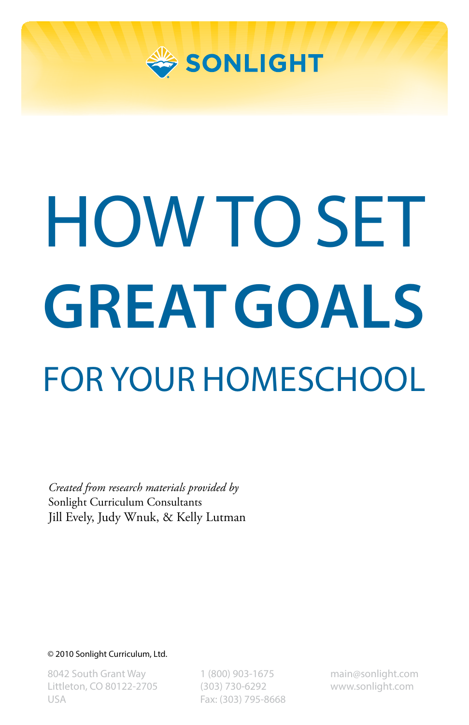

# HOW TO SET **GREAT GOALS** FOR YOUR HOMESCHOOL

*Created from research materials provided by* Sonlight Curriculum Consultants Jill Evely, Judy Wnuk, & Kelly Lutman

© 2010 Sonlight Curriculum, Ltd.

8042 South Grant Way Littleton, CO 80122-2705 USA

1 (800) 903-1675 (303) 730-6292 Fax: (303) 795-8668 main@sonlight.com www.sonlight.com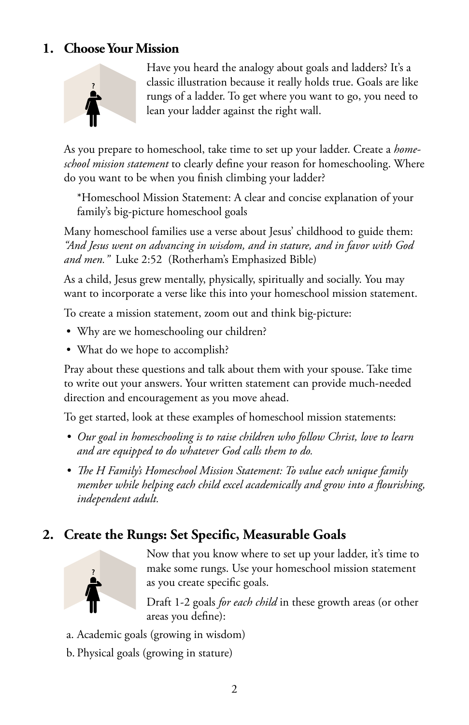#### **1. Choose Your Mission**



Have you heard the analogy about goals and ladders? It's a classic illustration because it really holds true. Goals are like rungs of a ladder. To get where you want to go, you need to lean your ladder against the right wall.

As you prepare to homeschool, take time to set up your ladder. Create a *homeschool mission statement* to clearly define your reason for homeschooling. Where do you want to be when you finish climbing your ladder?

\*Homeschool Mission Statement: A clear and concise explanation of your family's big-picture homeschool goals

Many homeschool families use a verse about Jesus' childhood to guide them: *"And Jesus went on advancing in wisdom, and in stature, and in favor with God and men."* Luke 2:52 (Rotherham's Emphasized Bible)

As a child, Jesus grew mentally, physically, spiritually and socially. You may want to incorporate a verse like this into your homeschool mission statement.

To create a mission statement, zoom out and think big-picture:

- Why are we homeschooling our children?
- What do we hope to accomplish?

Pray about these questions and talk about them with your spouse. Take time to write out your answers. Your written statement can provide much-needed direction and encouragement as you move ahead.

To get started, look at these examples of homeschool mission statements:

- *• Our goal in homeschooling is to raise children who follow Christ, love to learn and are equipped to do whatever God calls them to do.*
- *• The H Family's Homeschool Mission Statement: To value each unique family member while helping each child excel academically and grow into a flourishing, independent adult.*

### **2. Create the Rungs: Set Specific, Measurable Goals**



Now that you know where to set up your ladder, it's time to make some rungs. Use your homeschool mission statement as you create specific goals.

Draft 1-2 goals *for each child* in these growth areas (or other areas you define):

- a. Academic goals (growing in wisdom)
- b. Physical goals (growing in stature)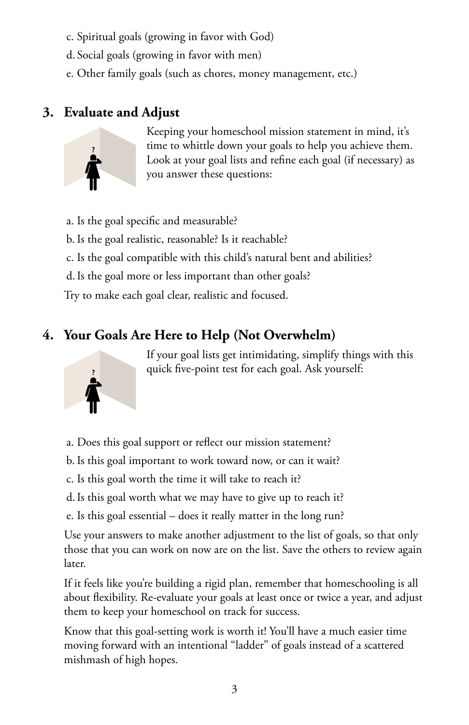- c. Spiritual goals (growing in favor with God)
- d. Social goals (growing in favor with men)
- e. Other family goals (such as chores, money management, etc.)

#### **3. Evaluate and Adjust**



Keeping your homeschool mission statement in mind, it's time to whittle down your goals to help you achieve them. Look at your goal lists and refine each goal (if necessary) as you answer these questions:

a. Is the goal specific and measurable? b.Is the goal realistic, reasonable? Is it reachable? c. Is the goal compatible with this child's natural bent and abilities? d.Is the goal more or less important than other goals? Try to make each goal clear, realistic and focused.

## **4. Your Goals Are Here to Help (Not Overwhelm)**



If your goal lists get intimidating, simplify things with this quick five-point test for each goal. Ask yourself:

- a. Does this goal support or reflect our mission statement?
- b.Is this goal important to work toward now, or can it wait?
- c. Is this goal worth the time it will take to reach it?
- d.Is this goal worth what we may have to give up to reach it?
- e. Is this goal essential does it really matter in the long run?

Use your answers to make another adjustment to the list of goals, so that only those that you can work on now are on the list. Save the others to review again later.

If it feels like you're building a rigid plan, remember that homeschooling is all about flexibility. Re-evaluate your goals at least once or twice a year, and adjust them to keep your homeschool on track for success.

Know that this goal-setting work is worth it! You'll have a much easier time moving forward with an intentional "ladder" of goals instead of a scattered mishmash of high hopes.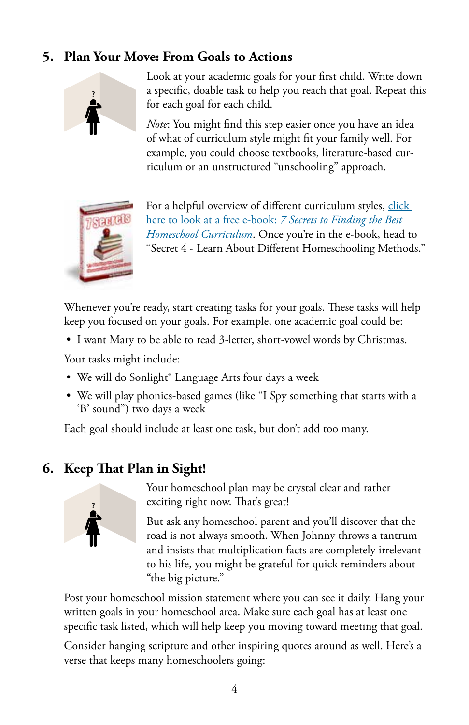## **5. Plan Your Move: From Goals to Actions**



Look at your academic goals for your first child. Write down a specific, doable task to help you reach that goal. Repeat this for each goal for each child.

*Note*: You might find this step easier once you have an idea of what of curriculum style might fit your family well. For example, you could choose textbooks, literature-based curriculum or an unstructured "unschooling" approach.



For a helpful overview of different curriculum styles, click here to look at a free e-book: *7 Secrets to Finding the Best Homeschool Curriculum*. Once you're in the e-book, head to "Secret 4 - Learn About Different Homeschooling Methods."

Whenever you're ready, start creating tasks for your goals. These tasks will help keep you focused on your goals. For example, one academic goal could be:

• I want Mary to be able to read 3-letter, short-vowel words by Christmas.

Your tasks might include:

- We will do Sonlight<sup>®</sup> Language Arts four days a week
- We will play phonics-based games (like "I Spy something that starts with a 'B' sound") two days a week

Each goal should include at least one task, but don't add too many.

#### **6. Keep That Plan in Sight!**



Your homeschool plan may be crystal clear and rather exciting right now. That's great!

But ask any homeschool parent and you'll discover that the road is not always smooth. When Johnny throws a tantrum and insists that multiplication facts are completely irrelevant to his life, you might be grateful for quick reminders about "the big picture."

Post your homeschool mission statement where you can see it daily. Hang your written goals in your homeschool area. Make sure each goal has at least one specific task listed, which will help keep you moving toward meeting that goal.

Consider hanging scripture and other inspiring quotes around as well. Here's a verse that keeps many homeschoolers going: